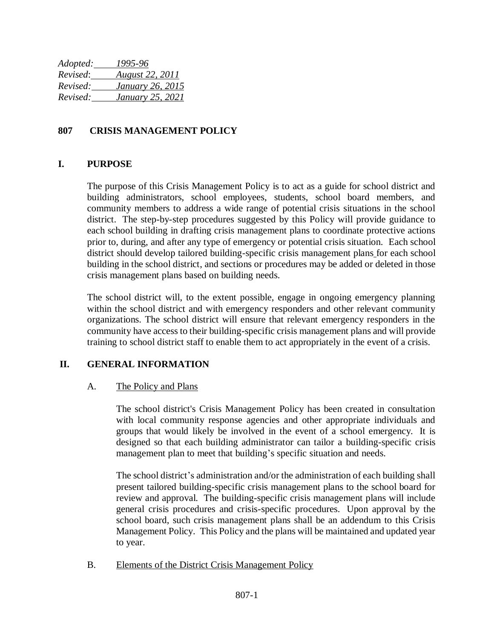*Adopted: 1995-96 Revised*: *August 22, 2011 Revised: January 26, 2015 Revised: January 25, 2021*

## **807 CRISIS MANAGEMENT POLICY**

### **I. PURPOSE**

The purpose of this Crisis Management Policy is to act as a guide for school district and building administrators, school employees, students, school board members, and community members to address a wide range of potential crisis situations in the school district. The step-by-step procedures suggested by this Policy will provide guidance to each school building in drafting crisis management plans to coordinate protective actions prior to, during, and after any type of emergency or potential crisis situation. Each school district should develop tailored building-specific crisis management plans for each school building in the school district, and sections or procedures may be added or deleted in those crisis management plans based on building needs.

The school district will, to the extent possible, engage in ongoing emergency planning within the school district and with emergency responders and other relevant community organizations. The school district will ensure that relevant emergency responders in the community have access to their building-specific crisis management plans and will provide training to school district staff to enable them to act appropriately in the event of a crisis.

## **II. GENERAL INFORMATION**

#### A. The Policy and Plans

The school district's Crisis Management Policy has been created in consultation with local community response agencies and other appropriate individuals and groups that would likely be involved in the event of a school emergency. It is designed so that each building administrator can tailor a building-specific crisis management plan to meet that building's specific situation and needs.

The school district's administration and/or the administration of each building shall present tailored building-specific crisis management plans to the school board for review and approval. The building-specific crisis management plans will include general crisis procedures and crisis-specific procedures. Upon approval by the school board, such crisis management plans shall be an addendum to this Crisis Management Policy. This Policy and the plans will be maintained and updated year to year.

B. Elements of the District Crisis Management Policy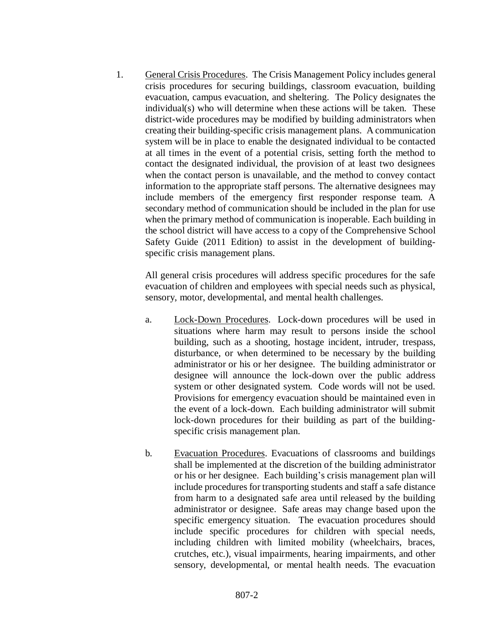1. General Crisis Procedures. The Crisis Management Policy includes general crisis procedures for securing buildings, classroom evacuation, building evacuation, campus evacuation, and sheltering. The Policy designates the individual(s) who will determine when these actions will be taken. These district-wide procedures may be modified by building administrators when creating their building-specific crisis management plans. A communication system will be in place to enable the designated individual to be contacted at all times in the event of a potential crisis, setting forth the method to contact the designated individual, the provision of at least two designees when the contact person is unavailable, and the method to convey contact information to the appropriate staff persons. The alternative designees may include members of the emergency first responder response team. A secondary method of communication should be included in the plan for use when the primary method of communication is inoperable. Each building in the school district will have access to a copy of the Comprehensive School Safety Guide (2011 Edition) to assist in the development of buildingspecific crisis management plans.

All general crisis procedures will address specific procedures for the safe evacuation of children and employees with special needs such as physical, sensory, motor, developmental, and mental health challenges.

- a. Lock-Down Procedures. Lock-down procedures will be used in situations where harm may result to persons inside the school building, such as a shooting, hostage incident, intruder, trespass, disturbance, or when determined to be necessary by the building administrator or his or her designee. The building administrator or designee will announce the lock-down over the public address system or other designated system. Code words will not be used. Provisions for emergency evacuation should be maintained even in the event of a lock-down. Each building administrator will submit lock-down procedures for their building as part of the buildingspecific crisis management plan.
- b. Evacuation Procedures. Evacuations of classrooms and buildings shall be implemented at the discretion of the building administrator or his or her designee. Each building's crisis management plan will include procedures for transporting students and staff a safe distance from harm to a designated safe area until released by the building administrator or designee. Safe areas may change based upon the specific emergency situation. The evacuation procedures should include specific procedures for children with special needs, including children with limited mobility (wheelchairs, braces, crutches, etc.), visual impairments, hearing impairments, and other sensory, developmental, or mental health needs. The evacuation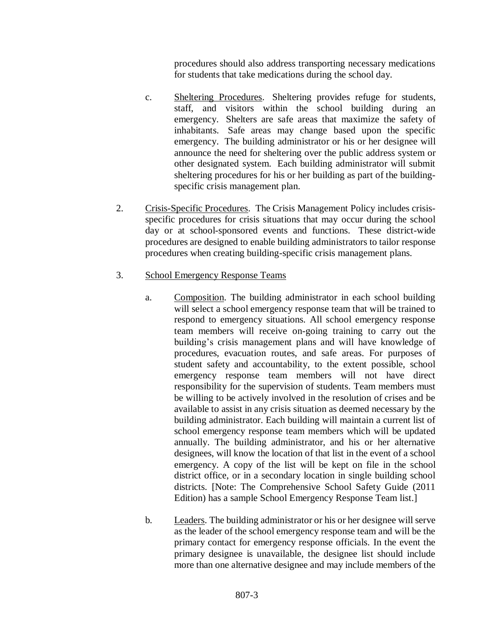procedures should also address transporting necessary medications for students that take medications during the school day.

- c. Sheltering Procedures. Sheltering provides refuge for students, staff, and visitors within the school building during an emergency. Shelters are safe areas that maximize the safety of inhabitants. Safe areas may change based upon the specific emergency. The building administrator or his or her designee will announce the need for sheltering over the public address system or other designated system. Each building administrator will submit sheltering procedures for his or her building as part of the buildingspecific crisis management plan.
- 2. Crisis-Specific Procedures. The Crisis Management Policy includes crisisspecific procedures for crisis situations that may occur during the school day or at school-sponsored events and functions. These district-wide procedures are designed to enable building administrators to tailor response procedures when creating building-specific crisis management plans.
- 3. School Emergency Response Teams
	- a. Composition. The building administrator in each school building will select a school emergency response team that will be trained to respond to emergency situations. All school emergency response team members will receive on-going training to carry out the building's crisis management plans and will have knowledge of procedures, evacuation routes, and safe areas. For purposes of student safety and accountability, to the extent possible, school emergency response team members will not have direct responsibility for the supervision of students. Team members must be willing to be actively involved in the resolution of crises and be available to assist in any crisis situation as deemed necessary by the building administrator. Each building will maintain a current list of school emergency response team members which will be updated annually. The building administrator, and his or her alternative designees, will know the location of that list in the event of a school emergency. A copy of the list will be kept on file in the school district office, or in a secondary location in single building school districts. [Note: The Comprehensive School Safety Guide (2011 Edition) has a sample School Emergency Response Team list.]
	- b. Leaders. The building administrator or his or her designee will serve as the leader of the school emergency response team and will be the primary contact for emergency response officials. In the event the primary designee is unavailable, the designee list should include more than one alternative designee and may include members of the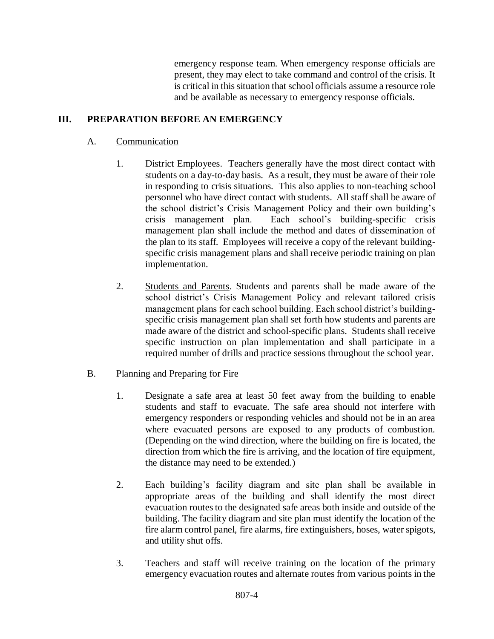emergency response team. When emergency response officials are present, they may elect to take command and control of the crisis. It is critical in this situation that school officials assume a resource role and be available as necessary to emergency response officials.

# **III. PREPARATION BEFORE AN EMERGENCY**

## A. Communication

- 1. District Employees. Teachers generally have the most direct contact with students on a day-to-day basis. As a result, they must be aware of their role in responding to crisis situations. This also applies to non-teaching school personnel who have direct contact with students. All staff shall be aware of the school district's Crisis Management Policy and their own building's crisis management plan. Each school's building-specific crisis management plan shall include the method and dates of dissemination of the plan to its staff. Employees will receive a copy of the relevant buildingspecific crisis management plans and shall receive periodic training on plan implementation.
- 2. Students and Parents. Students and parents shall be made aware of the school district's Crisis Management Policy and relevant tailored crisis management plans for each school building. Each school district's buildingspecific crisis management plan shall set forth how students and parents are made aware of the district and school-specific plans. Students shall receive specific instruction on plan implementation and shall participate in a required number of drills and practice sessions throughout the school year.

## B. Planning and Preparing for Fire

- 1. Designate a safe area at least 50 feet away from the building to enable students and staff to evacuate. The safe area should not interfere with emergency responders or responding vehicles and should not be in an area where evacuated persons are exposed to any products of combustion. (Depending on the wind direction, where the building on fire is located, the direction from which the fire is arriving, and the location of fire equipment, the distance may need to be extended.)
- 2. Each building's facility diagram and site plan shall be available in appropriate areas of the building and shall identify the most direct evacuation routes to the designated safe areas both inside and outside of the building. The facility diagram and site plan must identify the location of the fire alarm control panel, fire alarms, fire extinguishers, hoses, water spigots, and utility shut offs.
- 3. Teachers and staff will receive training on the location of the primary emergency evacuation routes and alternate routes from various points in the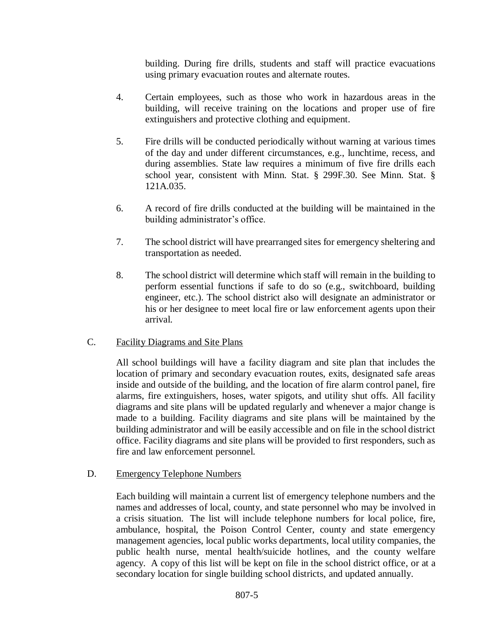building. During fire drills, students and staff will practice evacuations using primary evacuation routes and alternate routes.

- 4. Certain employees, such as those who work in hazardous areas in the building, will receive training on the locations and proper use of fire extinguishers and protective clothing and equipment.
- 5. Fire drills will be conducted periodically without warning at various times of the day and under different circumstances, e.g., lunchtime, recess, and during assemblies. State law requires a minimum of five fire drills each school year, consistent with Minn. Stat. § 299F.30. See Minn. Stat. § 121A.035.
- 6. A record of fire drills conducted at the building will be maintained in the building administrator's office.
- 7. The school district will have prearranged sites for emergency sheltering and transportation as needed.
- 8. The school district will determine which staff will remain in the building to perform essential functions if safe to do so (e.g., switchboard, building engineer, etc.). The school district also will designate an administrator or his or her designee to meet local fire or law enforcement agents upon their arrival.

## C. Facility Diagrams and Site Plans

All school buildings will have a facility diagram and site plan that includes the location of primary and secondary evacuation routes, exits, designated safe areas inside and outside of the building, and the location of fire alarm control panel, fire alarms, fire extinguishers, hoses, water spigots, and utility shut offs. All facility diagrams and site plans will be updated regularly and whenever a major change is made to a building. Facility diagrams and site plans will be maintained by the building administrator and will be easily accessible and on file in the school district office. Facility diagrams and site plans will be provided to first responders, such as fire and law enforcement personnel.

## D. Emergency Telephone Numbers

Each building will maintain a current list of emergency telephone numbers and the names and addresses of local, county, and state personnel who may be involved in a crisis situation. The list will include telephone numbers for local police, fire, ambulance, hospital, the Poison Control Center, county and state emergency management agencies, local public works departments, local utility companies, the public health nurse, mental health/suicide hotlines, and the county welfare agency. A copy of this list will be kept on file in the school district office, or at a secondary location for single building school districts, and updated annually.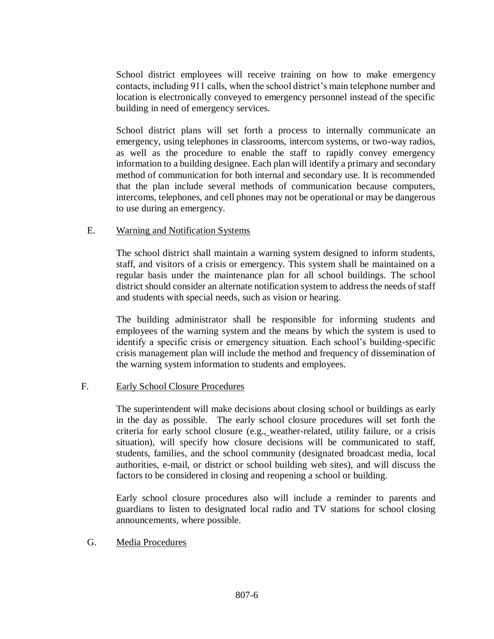School district employees will receive training on how to make emergency contacts, including 911 calls, when the school district's main telephone number and location is electronically conveyed to emergency personnel instead of the specific building in need of emergency services.

School district plans will set forth a process to internally communicate an emergency, using telephones in classrooms, intercom systems, or two-way radios, as well as the procedure to enable the staff to rapidly convey emergency information to a building designee. Each plan will identify a primary and secondary method of communication for both internal and secondary use. It is recommended that the plan include several methods of communication because computers, intercoms, telephones, and cell phones may not be operational or may be dangerous to use during an emergency.

### E. Warning and Notification Systems

The school district shall maintain a warning system designed to inform students, staff, and visitors of a crisis or emergency. This system shall be maintained on a regular basis under the maintenance plan for all school buildings. The school district should consider an alternate notification system to address the needs of staff and students with special needs, such as vision or hearing.

The building administrator shall be responsible for informing students and employees of the warning system and the means by which the system is used to identify a specific crisis or emergency situation. Each school's building-specific crisis management plan will include the method and frequency of dissemination of the warning system information to students and employees.

## F. Early School Closure Procedures

The superintendent will make decisions about closing school or buildings as early in the day as possible. The early school closure procedures will set forth the criteria for early school closure (e.g., weather-related, utility failure, or a crisis situation), will specify how closure decisions will be communicated to staff, students, families, and the school community (designated broadcast media, local authorities, e-mail, or district or school building web sites), and will discuss the factors to be considered in closing and reopening a school or building.

Early school closure procedures also will include a reminder to parents and guardians to listen to designated local radio and TV stations for school closing announcements, where possible.

#### G. Media Procedures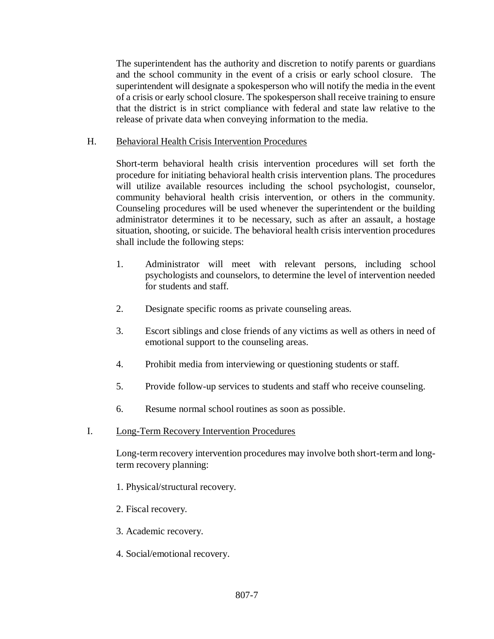The superintendent has the authority and discretion to notify parents or guardians and the school community in the event of a crisis or early school closure. The superintendent will designate a spokesperson who will notify the media in the event of a crisis or early school closure. The spokesperson shall receive training to ensure that the district is in strict compliance with federal and state law relative to the release of private data when conveying information to the media.

### H. Behavioral Health Crisis Intervention Procedures

Short-term behavioral health crisis intervention procedures will set forth the procedure for initiating behavioral health crisis intervention plans. The procedures will utilize available resources including the school psychologist, counselor, community behavioral health crisis intervention, or others in the community. Counseling procedures will be used whenever the superintendent or the building administrator determines it to be necessary, such as after an assault, a hostage situation, shooting, or suicide. The behavioral health crisis intervention procedures shall include the following steps:

- 1. Administrator will meet with relevant persons, including school psychologists and counselors, to determine the level of intervention needed for students and staff.
- 2. Designate specific rooms as private counseling areas.
- 3. Escort siblings and close friends of any victims as well as others in need of emotional support to the counseling areas.
- 4. Prohibit media from interviewing or questioning students or staff.
- 5. Provide follow-up services to students and staff who receive counseling.
- 6. Resume normal school routines as soon as possible.

## I. Long-Term Recovery Intervention Procedures

Long-term recovery intervention procedures may involve both short-term and longterm recovery planning:

- 1. Physical/structural recovery.
- 2. Fiscal recovery.
- 3. Academic recovery.
- 4. Social/emotional recovery.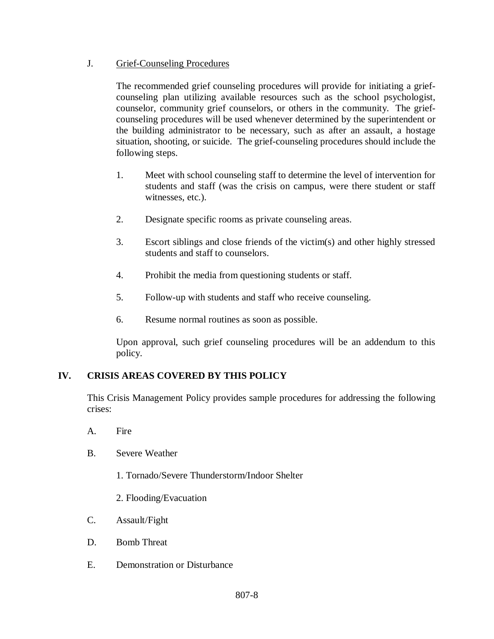## J. Grief-Counseling Procedures

The recommended grief counseling procedures will provide for initiating a griefcounseling plan utilizing available resources such as the school psychologist, counselor, community grief counselors, or others in the community. The griefcounseling procedures will be used whenever determined by the superintendent or the building administrator to be necessary, such as after an assault, a hostage situation, shooting, or suicide. The grief-counseling procedures should include the following steps.

- 1. Meet with school counseling staff to determine the level of intervention for students and staff (was the crisis on campus, were there student or staff witnesses, etc.).
- 2. Designate specific rooms as private counseling areas.
- 3. Escort siblings and close friends of the victim(s) and other highly stressed students and staff to counselors.
- 4. Prohibit the media from questioning students or staff.
- 5. Follow-up with students and staff who receive counseling.
- 6. Resume normal routines as soon as possible.

Upon approval, such grief counseling procedures will be an addendum to this policy.

## **IV. CRISIS AREAS COVERED BY THIS POLICY**

This Crisis Management Policy provides sample procedures for addressing the following crises:

- A. Fire
- B. Severe Weather
	- 1. Tornado/Severe Thunderstorm/Indoor Shelter
	- 2. Flooding/Evacuation
- C. Assault/Fight
- D. Bomb Threat
- E. Demonstration or Disturbance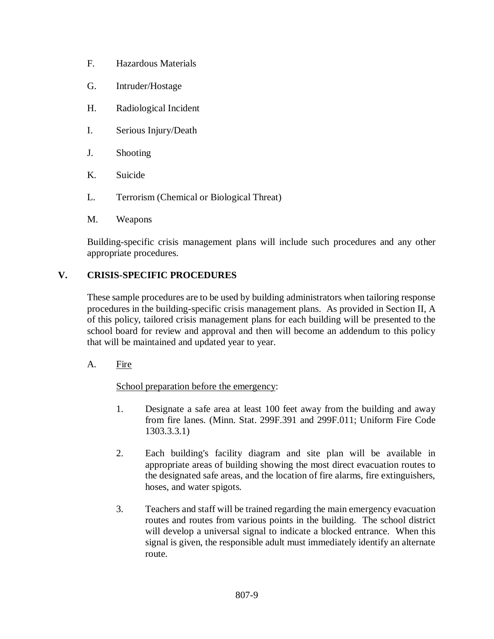- F. Hazardous Materials
- G. Intruder/Hostage
- H. Radiological Incident
- I. Serious Injury/Death
- J. Shooting
- K. Suicide
- L. Terrorism (Chemical or Biological Threat)
- M. Weapons

Building-specific crisis management plans will include such procedures and any other appropriate procedures.

# **V. CRISIS-SPECIFIC PROCEDURES**

These sample procedures are to be used by building administrators when tailoring response procedures in the building-specific crisis management plans. As provided in Section II, A of this policy, tailored crisis management plans for each building will be presented to the school board for review and approval and then will become an addendum to this policy that will be maintained and updated year to year.

A. Fire

School preparation before the emergency:

- 1. Designate a safe area at least 100 feet away from the building and away from fire lanes. [\(Minn. Stat. 299F.391](http://www.revisor.leg.state.mn.us/stats/299F/391.html) and [299F.011;](http://www.revisor.leg.state.mn.us/stats/299F/011.html) Uniform Fire Code 1303.3.3.1)
- 2. Each building's facility diagram and site plan will be available in appropriate areas of building showing the most direct evacuation routes to the designated safe areas, and the location of fire alarms, fire extinguishers, hoses, and water spigots.
- 3. Teachers and staff will be trained regarding the main emergency evacuation routes and routes from various points in the building. The school district will develop a universal signal to indicate a blocked entrance. When this signal is given, the responsible adult must immediately identify an alternate route.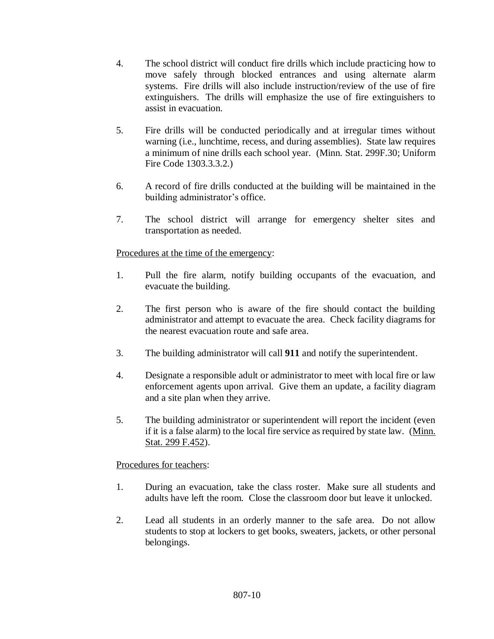- 4. The school district will conduct fire drills which include practicing how to move safely through blocked entrances and using alternate alarm systems. Fire drills will also include instruction/review of the use of fire extinguishers. The drills will emphasize the use of fire extinguishers to assist in evacuation.
- 5. Fire drills will be conducted periodically and at irregular times without warning (i.e., lunchtime, recess, and during assemblies). State law requires a minimum of nine drills each school year. [\(Minn. Stat. 299F.30;](http://www.revisor.leg.state.mn.us/stats/299F/30.html) Uniform Fire Code 1303.3.3.2.)
- 6. A record of fire drills conducted at the building will be maintained in the building administrator's office.
- 7. The school district will arrange for emergency shelter sites and transportation as needed.

## Procedures at the time of the emergency:

- 1. Pull the fire alarm, notify building occupants of the evacuation, and evacuate the building.
- 2. The first person who is aware of the fire should contact the building administrator and attempt to evacuate the area. Check facility diagrams for the nearest evacuation route and safe area.
- 3. The building administrator will call **911** and notify the superintendent.
- 4. Designate a responsible adult or administrator to meet with local fire or law enforcement agents upon arrival. Give them an update, a facility diagram and a site plan when they arrive.
- 5. The building administrator or superintendent will report the incident (even if it is a false alarm) to the local fire service as required by state law. [\(Minn.](http://www.revisor.leg.state.mn.us/stats/299F/452.html)  [Stat. 299 F.452\)](http://www.revisor.leg.state.mn.us/stats/299F/452.html).

## Procedures for teachers:

- 1. During an evacuation, take the class roster. Make sure all students and adults have left the room. Close the classroom door but leave it unlocked.
- 2. Lead all students in an orderly manner to the safe area. Do not allow students to stop at lockers to get books, sweaters, jackets, or other personal belongings.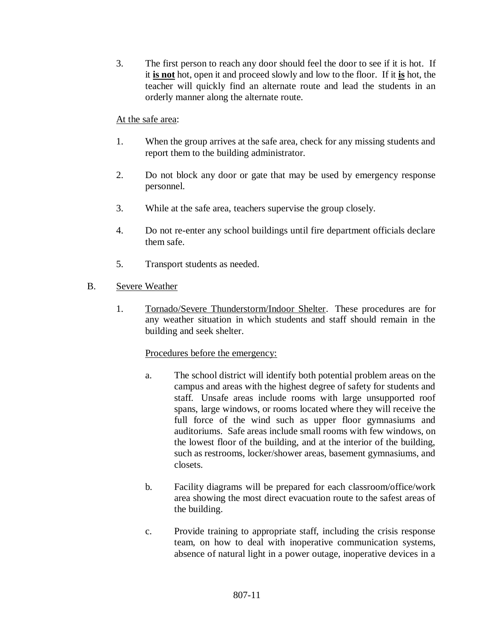3. The first person to reach any door should feel the door to see if it is hot. If it **is not** hot, open it and proceed slowly and low to the floor. If it **is** hot, the teacher will quickly find an alternate route and lead the students in an orderly manner along the alternate route.

## At the safe area:

- 1. When the group arrives at the safe area, check for any missing students and report them to the building administrator.
- 2. Do not block any door or gate that may be used by emergency response personnel.
- 3. While at the safe area, teachers supervise the group closely.
- 4. Do not re-enter any school buildings until fire department officials declare them safe.
- 5. Transport students as needed.
- B. Severe Weather
	- 1. Tornado/Severe Thunderstorm/Indoor Shelter. These procedures are for any weather situation in which students and staff should remain in the building and seek shelter.

## Procedures before the emergency:

- a. The school district will identify both potential problem areas on the campus and areas with the highest degree of safety for students and staff. Unsafe areas include rooms with large unsupported roof spans, large windows, or rooms located where they will receive the full force of the wind such as upper floor gymnasiums and auditoriums. Safe areas include small rooms with few windows, on the lowest floor of the building, and at the interior of the building, such as restrooms, locker/shower areas, basement gymnasiums, and closets.
- b. Facility diagrams will be prepared for each classroom/office/work area showing the most direct evacuation route to the safest areas of the building.
- c. Provide training to appropriate staff, including the crisis response team, on how to deal with inoperative communication systems, absence of natural light in a power outage, inoperative devices in a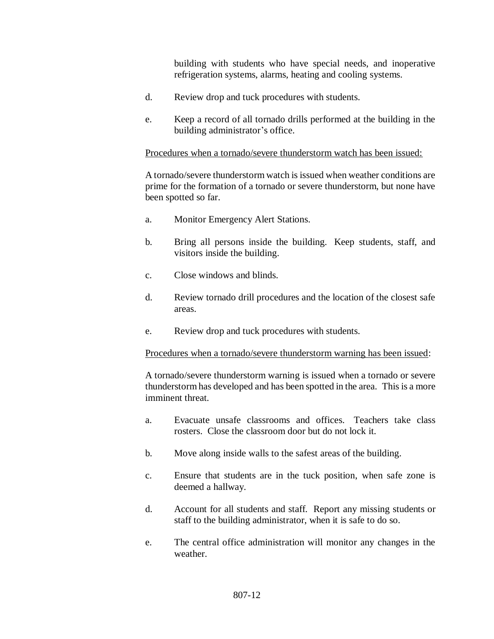building with students who have special needs, and inoperative refrigeration systems, alarms, heating and cooling systems.

- d. Review drop and tuck procedures with students.
- e. Keep a record of all tornado drills performed at the building in the building administrator's office.

#### Procedures when a tornado/severe thunderstorm watch has been issued:

A tornado/severe thunderstorm watch is issued when weather conditions are prime for the formation of a tornado or severe thunderstorm, but none have been spotted so far.

- a. Monitor Emergency Alert Stations.
- b. Bring all persons inside the building. Keep students, staff, and visitors inside the building.
- c. Close windows and blinds.
- d. Review tornado drill procedures and the location of the closest safe areas.
- e. Review drop and tuck procedures with students.

#### Procedures when a tornado/severe thunderstorm warning has been issued:

A tornado/severe thunderstorm warning is issued when a tornado or severe thunderstorm has developed and has been spotted in the area. This is a more imminent threat.

- a. Evacuate unsafe classrooms and offices. Teachers take class rosters. Close the classroom door but do not lock it.
- b. Move along inside walls to the safest areas of the building.
- c. Ensure that students are in the tuck position, when safe zone is deemed a hallway.
- d. Account for all students and staff. Report any missing students or staff to the building administrator, when it is safe to do so.
- e. The central office administration will monitor any changes in the weather.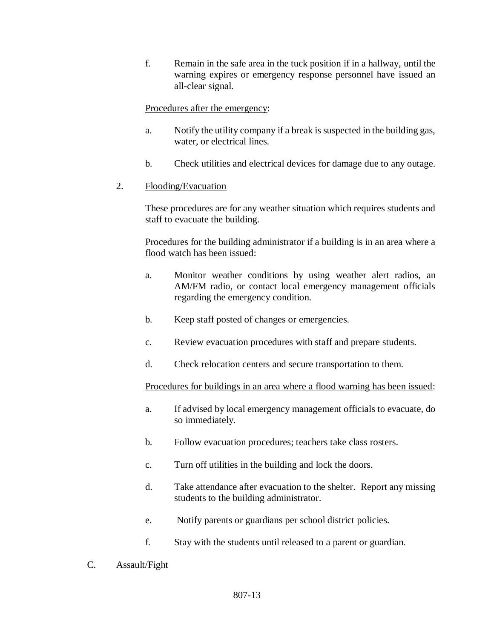f. Remain in the safe area in the tuck position if in a hallway, until the warning expires or emergency response personnel have issued an all-clear signal.

### Procedures after the emergency:

- a. Notify the utility company if a break is suspected in the building gas, water, or electrical lines.
- b. Check utilities and electrical devices for damage due to any outage.

### 2. Flooding/Evacuation

These procedures are for any weather situation which requires students and staff to evacuate the building.

Procedures for the building administrator if a building is in an area where a flood watch has been issued:

- a. Monitor weather conditions by using weather alert radios, an AM/FM radio, or contact local emergency management officials regarding the emergency condition.
- b. Keep staff posted of changes or emergencies.
- c. Review evacuation procedures with staff and prepare students.
- d. Check relocation centers and secure transportation to them.

Procedures for buildings in an area where a flood warning has been issued:

- a. If advised by local emergency management officials to evacuate, do so immediately.
- b. Follow evacuation procedures; teachers take class rosters.
- c. Turn off utilities in the building and lock the doors.
- d. Take attendance after evacuation to the shelter. Report any missing students to the building administrator.
- e. Notify parents or guardians per school district policies.
- f. Stay with the students until released to a parent or guardian.
- C. Assault/Fight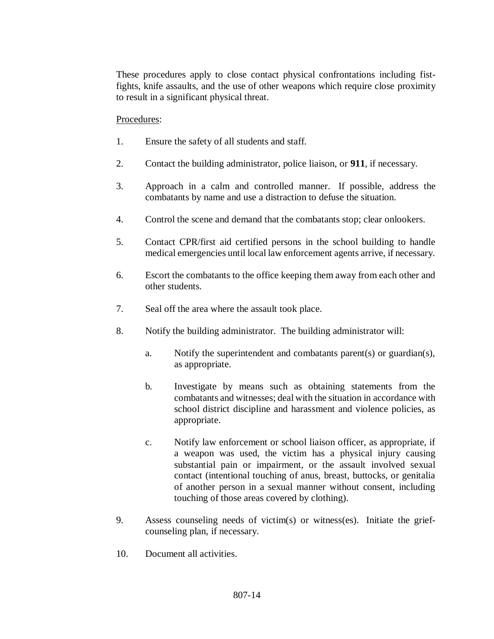These procedures apply to close contact physical confrontations including fistfights, knife assaults, and the use of other weapons which require close proximity to result in a significant physical threat.

### Procedures:

- 1. Ensure the safety of all students and staff.
- 2. Contact the building administrator, police liaison, or **911**, if necessary.
- 3. Approach in a calm and controlled manner. If possible, address the combatants by name and use a distraction to defuse the situation.
- 4. Control the scene and demand that the combatants stop; clear onlookers.
- 5. Contact CPR/first aid certified persons in the school building to handle medical emergencies until local law enforcement agents arrive, if necessary.
- 6. Escort the combatants to the office keeping them away from each other and other students.
- 7. Seal off the area where the assault took place.
- 8. Notify the building administrator. The building administrator will:
	- a. Notify the superintendent and combatants parent(s) or guardian(s), as appropriate.
	- b. Investigate by means such as obtaining statements from the combatants and witnesses; deal with the situation in accordance with school district discipline and harassment and violence policies, as appropriate.
	- c. Notify law enforcement or school liaison officer, as appropriate, if a weapon was used, the victim has a physical injury causing substantial pain or impairment, or the assault involved sexual contact (intentional touching of anus, breast, buttocks, or genitalia of another person in a sexual manner without consent, including touching of those areas covered by clothing).
- 9. Assess counseling needs of victim(s) or witness(es). Initiate the griefcounseling plan, if necessary.
- 10. Document all activities.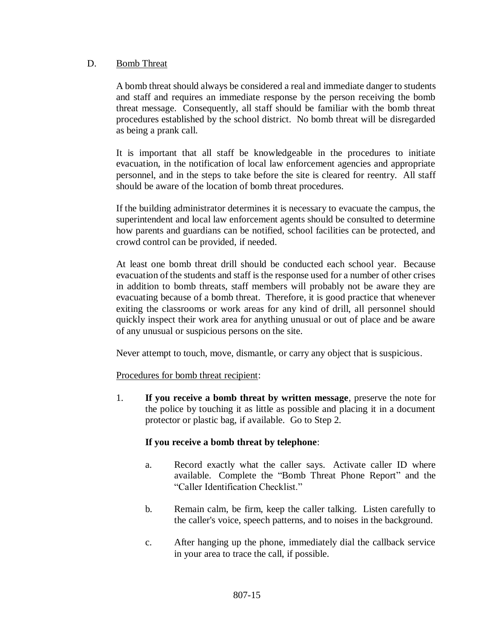### D. Bomb Threat

A bomb threat should always be considered a real and immediate danger to students and staff and requires an immediate response by the person receiving the bomb threat message. Consequently, all staff should be familiar with the bomb threat procedures established by the school district. No bomb threat will be disregarded as being a prank call.

It is important that all staff be knowledgeable in the procedures to initiate evacuation, in the notification of local law enforcement agencies and appropriate personnel, and in the steps to take before the site is cleared for reentry. All staff should be aware of the location of bomb threat procedures.

If the building administrator determines it is necessary to evacuate the campus, the superintendent and local law enforcement agents should be consulted to determine how parents and guardians can be notified, school facilities can be protected, and crowd control can be provided, if needed.

At least one bomb threat drill should be conducted each school year. Because evacuation of the students and staff is the response used for a number of other crises in addition to bomb threats, staff members will probably not be aware they are evacuating because of a bomb threat. Therefore, it is good practice that whenever exiting the classrooms or work areas for any kind of drill, all personnel should quickly inspect their work area for anything unusual or out of place and be aware of any unusual or suspicious persons on the site.

Never attempt to touch, move, dismantle, or carry any object that is suspicious.

#### Procedures for bomb threat recipient:

1. **If you receive a bomb threat by written message**, preserve the note for the police by touching it as little as possible and placing it in a document protector or plastic bag, if available. Go to Step 2.

## **If you receive a bomb threat by telephone**:

- a. Record exactly what the caller says. Activate caller ID where available. Complete the "Bomb Threat Phone Report" and the "Caller Identification Checklist."
- b. Remain calm, be firm, keep the caller talking. Listen carefully to the caller's voice, speech patterns, and to noises in the background.
- c. After hanging up the phone, immediately dial the callback service in your area to trace the call, if possible.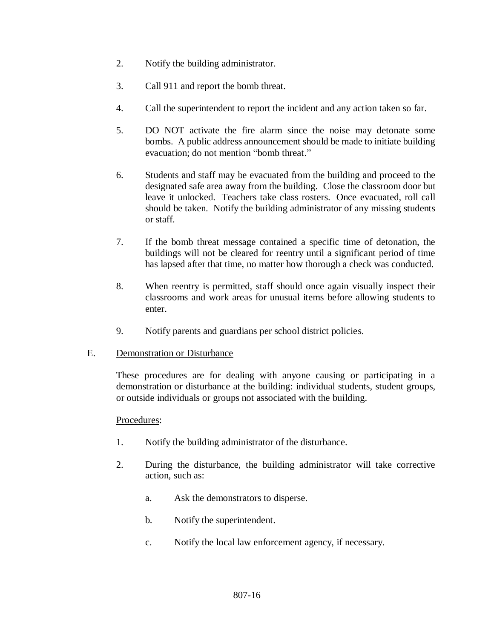- 2. Notify the building administrator.
- 3. Call 911 and report the bomb threat.
- 4. Call the superintendent to report the incident and any action taken so far.
- 5. DO NOT activate the fire alarm since the noise may detonate some bombs. A public address announcement should be made to initiate building evacuation; do not mention "bomb threat."
- 6. Students and staff may be evacuated from the building and proceed to the designated safe area away from the building. Close the classroom door but leave it unlocked. Teachers take class rosters. Once evacuated, roll call should be taken. Notify the building administrator of any missing students or staff.
- 7. If the bomb threat message contained a specific time of detonation, the buildings will not be cleared for reentry until a significant period of time has lapsed after that time, no matter how thorough a check was conducted.
- 8. When reentry is permitted, staff should once again visually inspect their classrooms and work areas for unusual items before allowing students to enter.
- 9. Notify parents and guardians per school district policies.

## E. Demonstration or Disturbance

These procedures are for dealing with anyone causing or participating in a demonstration or disturbance at the building: individual students, student groups, or outside individuals or groups not associated with the building.

## Procedures:

- 1. Notify the building administrator of the disturbance.
- 2. During the disturbance, the building administrator will take corrective action, such as:
	- a. Ask the demonstrators to disperse.
	- b. Notify the superintendent.
	- c. Notify the local law enforcement agency, if necessary.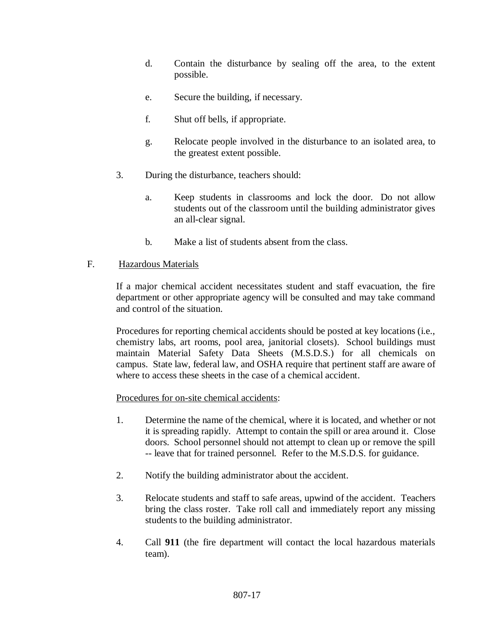- d. Contain the disturbance by sealing off the area, to the extent possible.
- e. Secure the building, if necessary.
- f. Shut off bells, if appropriate.
- g. Relocate people involved in the disturbance to an isolated area, to the greatest extent possible.
- 3. During the disturbance, teachers should:
	- a. Keep students in classrooms and lock the door. Do not allow students out of the classroom until the building administrator gives an all-clear signal.
	- b. Make a list of students absent from the class.

## F. Hazardous Materials

If a major chemical accident necessitates student and staff evacuation, the fire department or other appropriate agency will be consulted and may take command and control of the situation.

Procedures for reporting chemical accidents should be posted at key locations (i.e., chemistry labs, art rooms, pool area, janitorial closets). School buildings must maintain Material Safety Data Sheets (M.S.D.S.) for all chemicals on campus. State law, federal law, and OSHA require that pertinent staff are aware of where to access these sheets in the case of a chemical accident.

Procedures for on-site chemical accidents:

- 1. Determine the name of the chemical, where it is located, and whether or not it is spreading rapidly. Attempt to contain the spill or area around it. Close doors. School personnel should not attempt to clean up or remove the spill -- leave that for trained personnel. Refer to the M.S.D.S. for guidance.
- 2. Notify the building administrator about the accident.
- 3. Relocate students and staff to safe areas, upwind of the accident. Teachers bring the class roster. Take roll call and immediately report any missing students to the building administrator.
- 4. Call **911** (the fire department will contact the local hazardous materials team).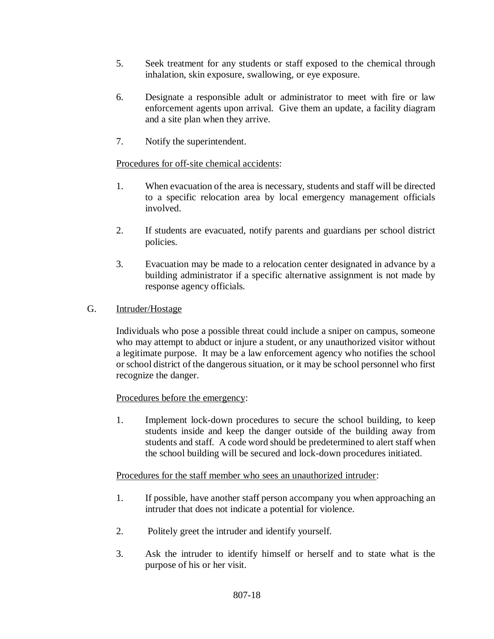- 5. Seek treatment for any students or staff exposed to the chemical through inhalation, skin exposure, swallowing, or eye exposure.
- 6. Designate a responsible adult or administrator to meet with fire or law enforcement agents upon arrival. Give them an update, a facility diagram and a site plan when they arrive.
- 7. Notify the superintendent.

## Procedures for off-site chemical accidents:

- 1. When evacuation of the area is necessary, students and staff will be directed to a specific relocation area by local emergency management officials involved.
- 2. If students are evacuated, notify parents and guardians per school district policies.
- 3. Evacuation may be made to a relocation center designated in advance by a building administrator if a specific alternative assignment is not made by response agency officials.
- G. Intruder/Hostage

Individuals who pose a possible threat could include a sniper on campus, someone who may attempt to abduct or injure a student, or any unauthorized visitor without a legitimate purpose. It may be a law enforcement agency who notifies the school or school district of the dangerous situation, or it may be school personnel who first recognize the danger.

## Procedures before the emergency:

1. Implement lock-down procedures to secure the school building, to keep students inside and keep the danger outside of the building away from students and staff. A code word should be predetermined to alert staff when the school building will be secured and lock-down procedures initiated.

## Procedures for the staff member who sees an unauthorized intruder:

- 1. If possible, have another staff person accompany you when approaching an intruder that does not indicate a potential for violence.
- 2. Politely greet the intruder and identify yourself.
- 3. Ask the intruder to identify himself or herself and to state what is the purpose of his or her visit.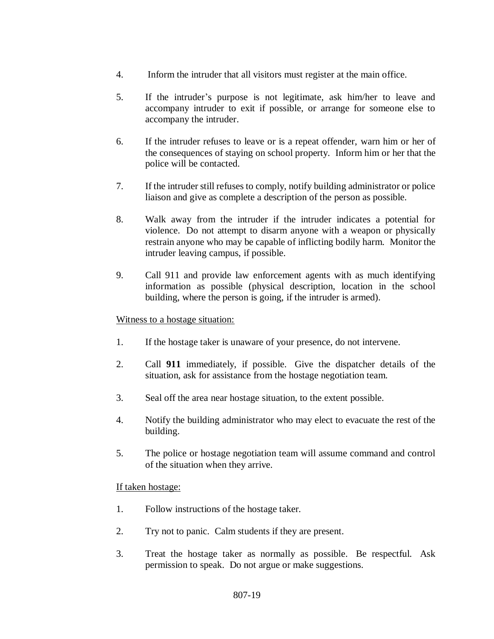- 4. Inform the intruder that all visitors must register at the main office.
- 5. If the intruder's purpose is not legitimate, ask him/her to leave and accompany intruder to exit if possible, or arrange for someone else to accompany the intruder.
- 6. If the intruder refuses to leave or is a repeat offender, warn him or her of the consequences of staying on school property. Inform him or her that the police will be contacted.
- 7. If the intruder still refuses to comply, notify building administrator or police liaison and give as complete a description of the person as possible.
- 8. Walk away from the intruder if the intruder indicates a potential for violence. Do not attempt to disarm anyone with a weapon or physically restrain anyone who may be capable of inflicting bodily harm. Monitor the intruder leaving campus, if possible.
- 9. Call 911 and provide law enforcement agents with as much identifying information as possible (physical description, location in the school building, where the person is going, if the intruder is armed).

#### Witness to a hostage situation:

- 1. If the hostage taker is unaware of your presence, do not intervene.
- 2. Call **911** immediately, if possible. Give the dispatcher details of the situation, ask for assistance from the hostage negotiation team.
- 3. Seal off the area near hostage situation, to the extent possible.
- 4. Notify the building administrator who may elect to evacuate the rest of the building.
- 5. The police or hostage negotiation team will assume command and control of the situation when they arrive.

#### If taken hostage:

- 1. Follow instructions of the hostage taker.
- 2. Try not to panic. Calm students if they are present.
- 3. Treat the hostage taker as normally as possible. Be respectful. Ask permission to speak. Do not argue or make suggestions.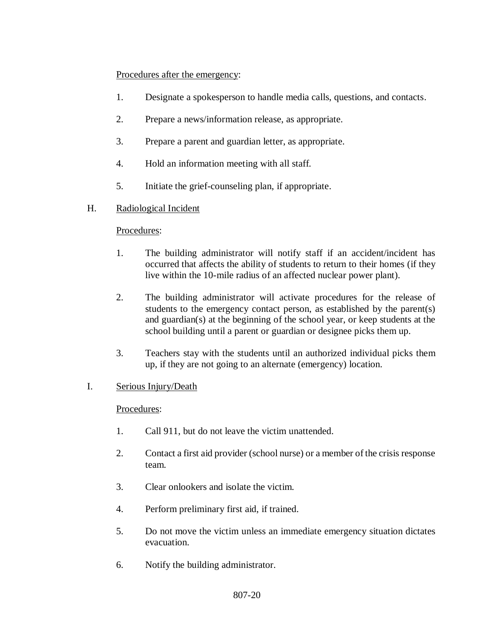### Procedures after the emergency:

- 1. Designate a spokesperson to handle media calls, questions, and contacts.
- 2. Prepare a news/information release, as appropriate.
- 3. Prepare a parent and guardian letter, as appropriate.
- 4. Hold an information meeting with all staff.
- 5. Initiate the grief-counseling plan, if appropriate.

## H. Radiological Incident

### Procedures:

- 1. The building administrator will notify staff if an accident/incident has occurred that affects the ability of students to return to their homes (if they live within the 10-mile radius of an affected nuclear power plant).
- 2. The building administrator will activate procedures for the release of students to the emergency contact person, as established by the parent(s) and guardian(s) at the beginning of the school year, or keep students at the school building until a parent or guardian or designee picks them up.
- 3. Teachers stay with the students until an authorized individual picks them up, if they are not going to an alternate (emergency) location.

## I. Serious Injury/Death

#### Procedures:

- 1. Call 911, but do not leave the victim unattended.
- 2. Contact a first aid provider (school nurse) or a member of the crisis response team.
- 3. Clear onlookers and isolate the victim.
- 4. Perform preliminary first aid, if trained.
- 5. Do not move the victim unless an immediate emergency situation dictates evacuation.
- 6. Notify the building administrator.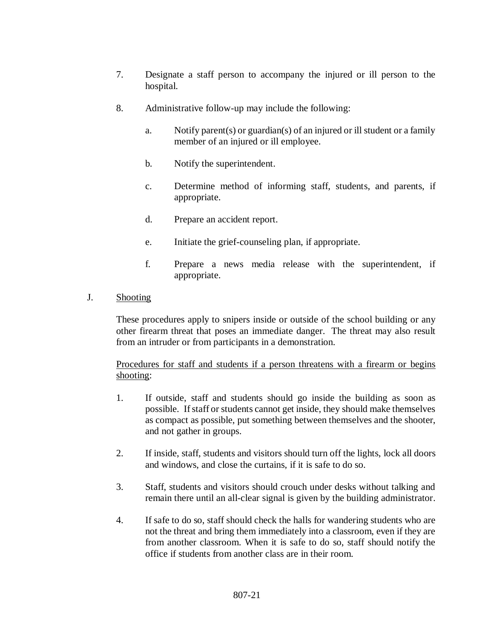- 7. Designate a staff person to accompany the injured or ill person to the hospital.
- 8. Administrative follow-up may include the following:
	- a. Notify parent(s) or guardian(s) of an injured or ill student or a family member of an injured or ill employee.
	- b. Notify the superintendent.
	- c. Determine method of informing staff, students, and parents, if appropriate.
	- d. Prepare an accident report.
	- e. Initiate the grief-counseling plan, if appropriate.
	- f. Prepare a news media release with the superintendent, if appropriate.
- J. Shooting

These procedures apply to snipers inside or outside of the school building or any other firearm threat that poses an immediate danger. The threat may also result from an intruder or from participants in a demonstration.

Procedures for staff and students if a person threatens with a firearm or begins shooting:

- 1. If outside, staff and students should go inside the building as soon as possible. If staff or students cannot get inside, they should make themselves as compact as possible, put something between themselves and the shooter, and not gather in groups.
- 2. If inside, staff, students and visitors should turn off the lights, lock all doors and windows, and close the curtains, if it is safe to do so.
- 3. Staff, students and visitors should crouch under desks without talking and remain there until an all-clear signal is given by the building administrator.
- 4. If safe to do so, staff should check the halls for wandering students who are not the threat and bring them immediately into a classroom, even if they are from another classroom. When it is safe to do so, staff should notify the office if students from another class are in their room.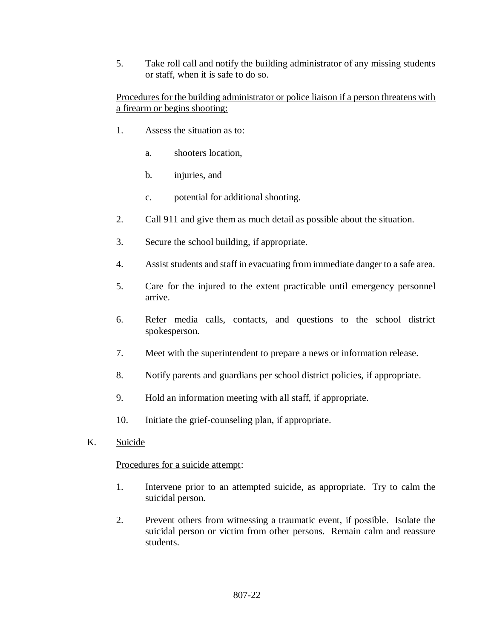5. Take roll call and notify the building administrator of any missing students or staff, when it is safe to do so.

## Procedures for the building administrator or police liaison if a person threatens with a firearm or begins shooting:

- 1. Assess the situation as to:
	- a. shooters location,
	- b. injuries, and
	- c. potential for additional shooting.
- 2. Call 911 and give them as much detail as possible about the situation.
- 3. Secure the school building, if appropriate.
- 4. Assist students and staff in evacuating from immediate danger to a safe area.
- 5. Care for the injured to the extent practicable until emergency personnel arrive.
- 6. Refer media calls, contacts, and questions to the school district spokesperson.
- 7. Meet with the superintendent to prepare a news or information release.
- 8. Notify parents and guardians per school district policies, if appropriate.
- 9. Hold an information meeting with all staff, if appropriate.
- 10. Initiate the grief-counseling plan, if appropriate.
- K. Suicide

## Procedures for a suicide attempt:

- 1. Intervene prior to an attempted suicide, as appropriate. Try to calm the suicidal person.
- 2. Prevent others from witnessing a traumatic event, if possible. Isolate the suicidal person or victim from other persons. Remain calm and reassure students.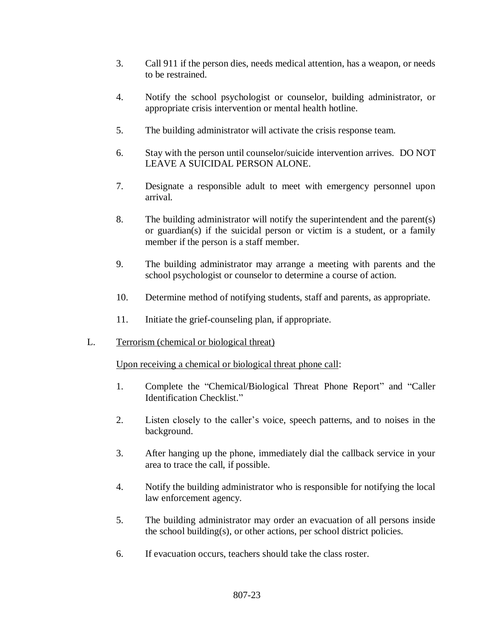- 3. Call 911 if the person dies, needs medical attention, has a weapon, or needs to be restrained.
- 4. Notify the school psychologist or counselor, building administrator, or appropriate crisis intervention or mental health hotline.
- 5. The building administrator will activate the crisis response team.
- 6. Stay with the person until counselor/suicide intervention arrives. DO NOT LEAVE A SUICIDAL PERSON ALONE.
- 7. Designate a responsible adult to meet with emergency personnel upon arrival.
- 8. The building administrator will notify the superintendent and the parent(s) or guardian(s) if the suicidal person or victim is a student, or a family member if the person is a staff member.
- 9. The building administrator may arrange a meeting with parents and the school psychologist or counselor to determine a course of action.
- 10. Determine method of notifying students, staff and parents, as appropriate.
- 11. Initiate the grief-counseling plan, if appropriate.
- L. Terrorism (chemical or biological threat)

Upon receiving a chemical or biological threat phone call:

- 1. Complete the "Chemical/Biological Threat Phone Report" and "Caller Identification Checklist."
- 2. Listen closely to the caller's voice, speech patterns, and to noises in the background.
- 3. After hanging up the phone, immediately dial the callback service in your area to trace the call, if possible.
- 4. Notify the building administrator who is responsible for notifying the local law enforcement agency.
- 5. The building administrator may order an evacuation of all persons inside the school building(s), or other actions, per school district policies.
- 6. If evacuation occurs, teachers should take the class roster.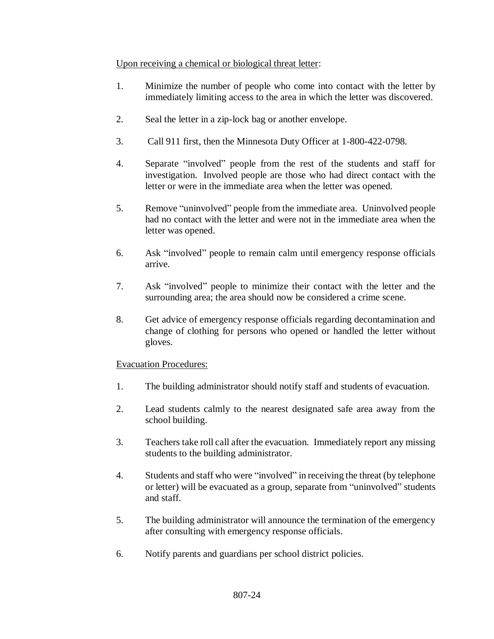## Upon receiving a chemical or biological threat letter:

- 1. Minimize the number of people who come into contact with the letter by immediately limiting access to the area in which the letter was discovered.
- 2. Seal the letter in a zip-lock bag or another envelope.
- 3. Call 911 first, then the Minnesota Duty Officer at 1-800-422-0798.
- 4. Separate "involved" people from the rest of the students and staff for investigation. Involved people are those who had direct contact with the letter or were in the immediate area when the letter was opened.
- 5. Remove "uninvolved" people from the immediate area. Uninvolved people had no contact with the letter and were not in the immediate area when the letter was opened.
- 6. Ask "involved" people to remain calm until emergency response officials arrive.
- 7. Ask "involved" people to minimize their contact with the letter and the surrounding area; the area should now be considered a crime scene.
- 8. Get advice of emergency response officials regarding decontamination and change of clothing for persons who opened or handled the letter without gloves.

## Evacuation Procedures:

- 1. The building administrator should notify staff and students of evacuation.
- 2. Lead students calmly to the nearest designated safe area away from the school building.
- 3. Teachers take roll call after the evacuation. Immediately report any missing students to the building administrator.
- 4. Students and staff who were "involved" in receiving the threat (by telephone or letter) will be evacuated as a group, separate from "uninvolved" students and staff.
- 5. The building administrator will announce the termination of the emergency after consulting with emergency response officials.
- 6. Notify parents and guardians per school district policies.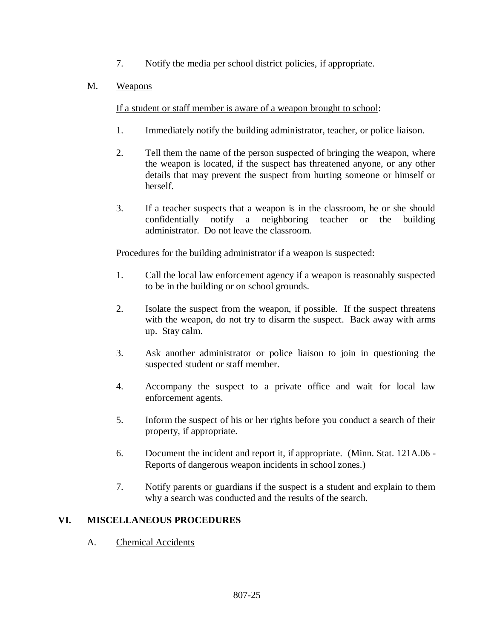7. Notify the media per school district policies, if appropriate.

# M. Weapons

If a student or staff member is aware of a weapon brought to school:

- 1. Immediately notify the building administrator, teacher, or police liaison.
- 2. Tell them the name of the person suspected of bringing the weapon, where the weapon is located, if the suspect has threatened anyone, or any other details that may prevent the suspect from hurting someone or himself or herself.
- 3. If a teacher suspects that a weapon is in the classroom, he or she should confidentially notify a neighboring teacher or the building administrator. Do not leave the classroom.

# Procedures for the building administrator if a weapon is suspected:

- 1. Call the local law enforcement agency if a weapon is reasonably suspected to be in the building or on school grounds.
- 2. Isolate the suspect from the weapon, if possible. If the suspect threatens with the weapon, do not try to disarm the suspect. Back away with arms up. Stay calm.
- 3. Ask another administrator or police liaison to join in questioning the suspected student or staff member.
- 4. Accompany the suspect to a private office and wait for local law enforcement agents.
- 5. Inform the suspect of his or her rights before you conduct a search of their property, if appropriate.
- 6. Document the incident and report it, if appropriate. [\(Minn. Stat. 121A.06](http://www.revisor.leg.state.mn.us/stats/121A/06.html) Reports of dangerous weapon incidents in school zones.)
- 7. Notify parents or guardians if the suspect is a student and explain to them why a search was conducted and the results of the search.

# **VI. MISCELLANEOUS PROCEDURES**

A. Chemical Accidents